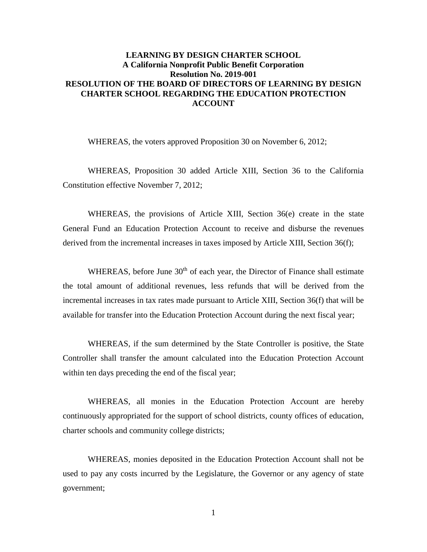## **LEARNING BY DESIGN CHARTER SCHOOL** A California Nonprofit Public Benefit Corporation **Resolution No. 2019-001** RESOLUTION OF THE BOARD OF DIRECTORS OF LEARNING BY DESIGN **CHARTER SCHOOL REGARDING THE EDUCATION PROTECTION ACCOUNT**

WHEREAS, the voters approved Proposition 30 on November 6, 2012;

WHEREAS, Proposition 30 added Article XIII, Section 36 to the California Constitution effective November 7, 2012;

WHEREAS, the provisions of Article XIII, Section 36(e) create in the state General Fund an Education Protection Account to receive and disburse the revenues derived from the incremental increases in taxes imposed by Article XIII, Section 36(f);

WHEREAS, before June 30<sup>th</sup> of each year, the Director of Finance shall estimate the total amount of additional revenues, less refunds that will be derived from the incremental increases in tax rates made pursuant to Article XIII, Section 36(f) that will be available for transfer into the Education Protection Account during the next fiscal year;

WHEREAS, if the sum determined by the State Controller is positive, the State Controller shall transfer the amount calculated into the Education Protection Account within ten days preceding the end of the fiscal year;

WHEREAS, all monies in the Education Protection Account are hereby continuously appropriated for the support of school districts, county offices of education, charter schools and community college districts;

WHEREAS, monies deposited in the Education Protection Account shall not be used to pay any costs incurred by the Legislature, the Governor or any agency of state government;

 $\mathbf{1}$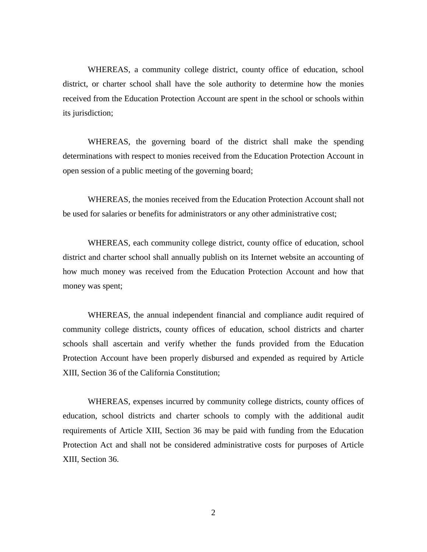WHEREAS, a community college district, county office of education, school district, or charter school shall have the sole authority to determine how the monies received from the Education Protection Account are spent in the school or schools within its jurisdiction;

WHEREAS, the governing board of the district shall make the spending determinations with respect to monies received from the Education Protection Account in open session of a public meeting of the governing board;

WHEREAS, the monies received from the Education Protection Account shall not be used for salaries or benefits for administrators or any other administrative cost;

WHEREAS, each community college district, county office of education, school district and charter school shall annually publish on its Internet website an accounting of how much money was received from the Education Protection Account and how that money was spent;

WHEREAS, the annual independent financial and compliance audit required of community college districts, county offices of education, school districts and charter schools shall ascertain and verify whether the funds provided from the Education Protection Account have been properly disbursed and expended as required by Article XIII, Section 36 of the California Constitution;

WHEREAS, expenses incurred by community college districts, county offices of education, school districts and charter schools to comply with the additional audit requirements of Article XIII, Section 36 may be paid with funding from the Education Protection Act and shall not be considered administrative costs for purposes of Article XIII, Section 36.